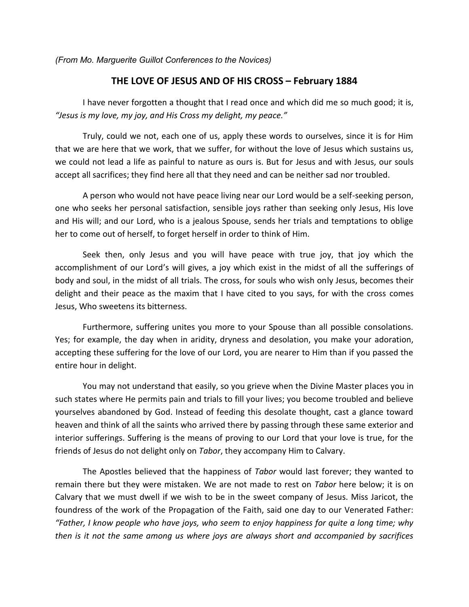*(From Mo. Marguerite Guillot Conferences to the Novices)*

## **THE LOVE OF JESUS AND OF HIS CROSS – February 1884**

 I have never forgotten a thought that I read once and which did me so much good; it is, *͞Jesus is my love, my joy, and His Cross my delight, my peace.͟*

 Truly, could we not, each one of us, apply these words to ourselves, since it is for Him that we are here that we work, that we suffer, for without the love of Jesus which sustains us, we could not lead a life as painful to nature as ours is. But for Jesus and with Jesus, our souls accept all sacrifices; they find here all that they need and can be neither sad nor troubled.

 A person who would not have peace living near our Lord would be a self-seeking person, one who seeks her personal satisfaction, sensible joys rather than seeking only Jesus, His love and His will; and our Lord, who is a jealous Spouse, sends her trials and temptations to oblige her to come out of herself, to forget herself in order to think of Him.

 Seek then, only Jesus and you will have peace with true joy, that joy which the accomplishment of our Lord's will gives, a joy which exist in the midst of all the sufferings of body and soul, in the midst of all trials. The cross, for souls who wish only Jesus, becomes their delight and their peace as the maxim that I have cited to you says, for with the cross comes Jesus, Who sweetens its bitterness.

 Furthermore, suffering unites you more to your Spouse than all possible consolations. Yes; for example, the day when in aridity, dryness and desolation, you make your adoration, accepting these suffering for the love of our Lord, you are nearer to Him than if you passed the entire hour in delight.

 You may not understand that easily, so you grieve when the Divine Master places you in such states where He permits pain and trials to fill your lives; you become troubled and believe yourselves abandoned by God. Instead of feeding this desolate thought, cast a glance toward heaven and think of all the saints who arrived there by passing through these same exterior and interior sufferings. Suffering is the means of proving to our Lord that your love is true, for the friends of Jesus do not delight only on *Tabor*, they accompany Him to Calvary.

 The Apostles believed that the happiness of *Tabor* would last forever; they wanted to remain there but they were mistaken. We are not made to rest on *Tabor* here below; it is on Calvary that we must dwell if we wish to be in the sweet company of Jesus. Miss Jaricot, the foundress of the work of the Propagation of the Faith, said one day to our Venerated Father: *͞Father, I know people who have joys, who seem to enjoy happiness for quite a long time; why then is it not the same among us where joys are always short and accompanied by sacrifices*